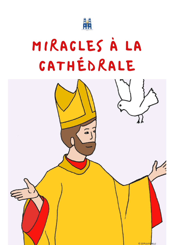

## MIRACLES À LA CATHÉDRALE

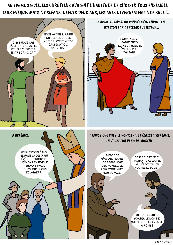AU IVÈME SIÈCLE, LES CHRÉTIENS AVAIENT L'HABITUDE DE CHOISIR TOUS ENSEMBLE LEUR EVÊQUE. MAIS À ORLÉANS, DEPUIS DEUX ANS, LES AVIS DIVERGEAIENT À CE SUJET...





TU IRAS ENSUITE PORTER LE NOM DE NOTRE NOUVEL ÉVÊQUE À ROME !

© 2019.D.STORELLI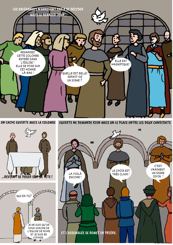

ON CACHE EUVERTE MAIS LA COLOMBE



 $\blacksquare$ 



VOYAGE.



© 2019.D.STORELLI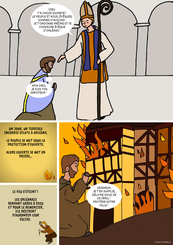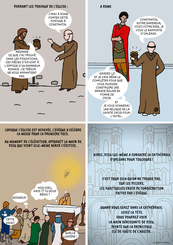